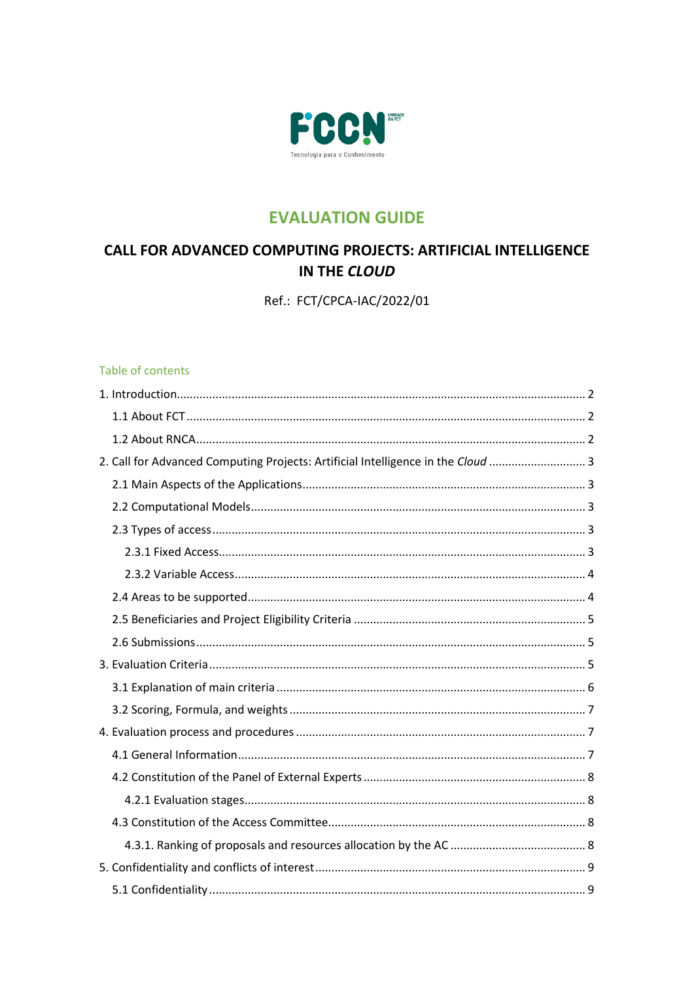

## **EVALUATION GUIDE**

# **CALL FOR ADVANCED COMPUTING PROJECTS: ARTIFICIAL INTELLIGENCE** IN THE CLOUD

Ref.: FCT/CPCA-IAC/2022/01

#### Table of contents

| 2. Call for Advanced Computing Projects: Artificial Intelligence in the Cloud  3 |  |
|----------------------------------------------------------------------------------|--|
|                                                                                  |  |
|                                                                                  |  |
|                                                                                  |  |
|                                                                                  |  |
|                                                                                  |  |
|                                                                                  |  |
|                                                                                  |  |
|                                                                                  |  |
|                                                                                  |  |
|                                                                                  |  |
|                                                                                  |  |
|                                                                                  |  |
|                                                                                  |  |
|                                                                                  |  |
|                                                                                  |  |
|                                                                                  |  |
|                                                                                  |  |
|                                                                                  |  |
|                                                                                  |  |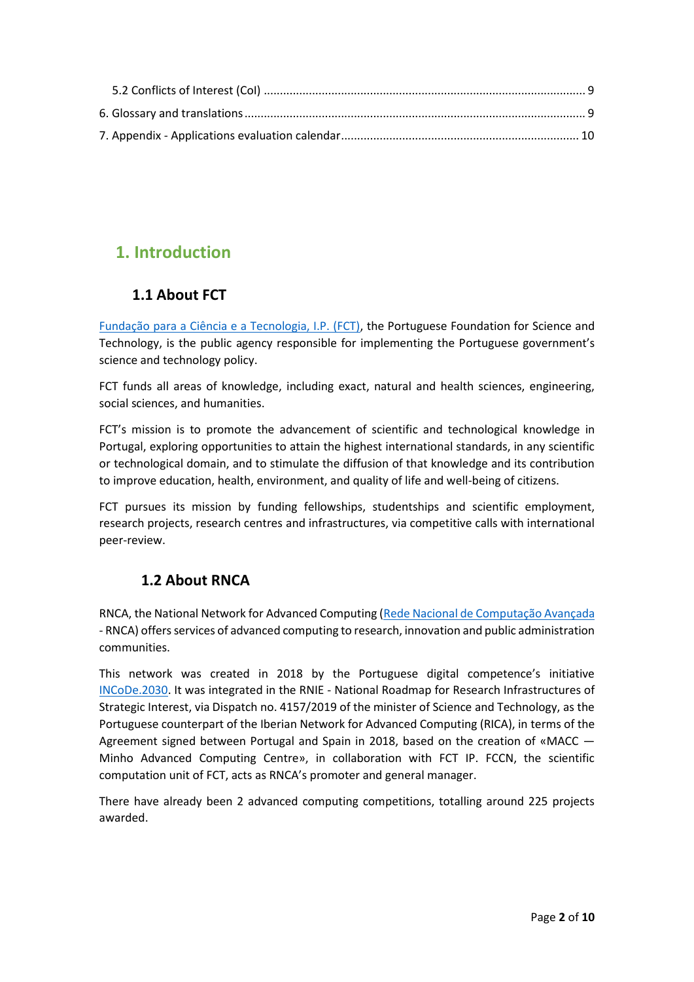# <span id="page-1-1"></span><span id="page-1-0"></span>**1. Introduction**

## **1.1 About FCT**

[Fundação para a Ciência e a Tecnologia, I.P. \(FCT\),](https://www.fct.pt/apoios/Computacao/index.phtml.pt) the Portuguese Foundation for Science and Technology, is the public agency responsible for implementing the Portuguese government's science and technology policy.

FCT funds all areas of knowledge, including exact, natural and health sciences, engineering, social sciences, and humanities.

FCT's mission is to promote the advancement of scientific and technological knowledge in Portugal, exploring opportunities to attain the highest international standards, in any scientific or technological domain, and to stimulate the diffusion of that knowledge and its contribution to improve education, health, environment, and quality of life and well-being of citizens.

FCT pursues its mission by funding fellowships, studentships and scientific employment, research projects, research centres and infrastructures, via competitive calls with international peer-review.

## <span id="page-1-2"></span>**1.2 About RNCA**

RNCA, the National Network for Advanced Computing [\(Rede Nacional de Computação Avançada](https://rnca.fccn.pt/) - RNCA) offers services of advanced computing to research, innovation and public administration communities.

This network was created in 2018 by the Portuguese digital competence's initiative [INCoDe.2030.](https://www.incode2030.gov.pt/) It was integrated in the RNIE - National Roadmap for Research Infrastructures of Strategic Interest, via Dispatch no. 4157/2019 of the minister of Science and Technology, as the Portuguese counterpart of the Iberian Network for Advanced Computing (RICA), in terms of the Agreement signed between Portugal and Spain in 2018, based on the creation of «MACC — Minho Advanced Computing Centre», in collaboration with FCT IP. FCCN, the scientific computation unit of FCT, acts as RNCA's promoter and general manager.

There have already been 2 advanced computing competitions, totalling around 225 projects awarded.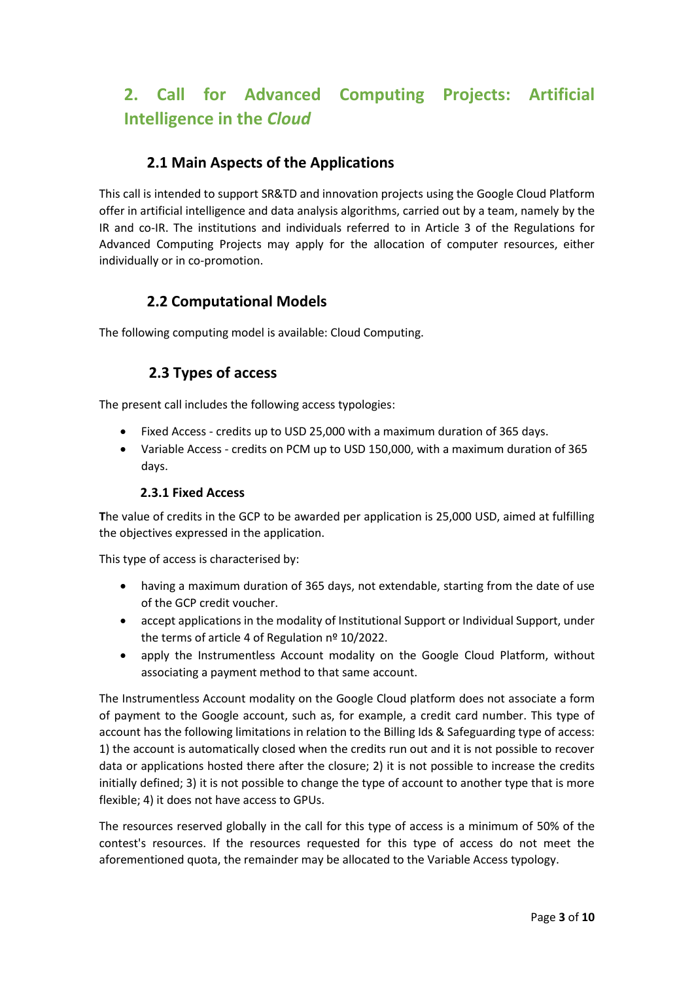# <span id="page-2-0"></span>**2. Call for Advanced Computing Projects: Artificial Intelligence in the** *Cloud*

## **2.1 Main Aspects of the Applications**

<span id="page-2-1"></span>This call is intended to support SR&TD and innovation projects using the Google Cloud Platform offer in artificial intelligence and data analysis algorithms, carried out by a team, namely by the IR and co-IR. The institutions and individuals referred to in Article 3 of the Regulations for Advanced Computing Projects may apply for the allocation of computer resources, either individually or in co-promotion.

### **2.2 Computational Models**

<span id="page-2-3"></span><span id="page-2-2"></span>The following computing model is available: Cloud Computing.

### **2.3 Types of access**

The present call includes the following access typologies:

- Fixed Access credits up to USD 25,000 with a maximum duration of 365 days.
- Variable Access credits on PCM up to USD 150,000, with a maximum duration of 365 days.

#### **2.3.1 Fixed Access**

<span id="page-2-4"></span>**T**he value of credits in the GCP to be awarded per application is 25,000 USD, aimed at fulfilling the objectives expressed in the application.

This type of access is characterised by:

- having a maximum duration of 365 days, not extendable, starting from the date of use of the GCP credit voucher.
- accept applications in the modality of Institutional Support or Individual Support, under the terms of article 4 of Regulation nº 10/2022.
- apply the Instrumentless Account modality on the Google Cloud Platform, without associating a payment method to that same account.

The Instrumentless Account modality on the Google Cloud platform does not associate a form of payment to the Google account, such as, for example, a credit card number. This type of account has the following limitations in relation to the Billing Ids & Safeguarding type of access: 1) the account is automatically closed when the credits run out and it is not possible to recover data or applications hosted there after the closure; 2) it is not possible to increase the credits initially defined; 3) it is not possible to change the type of account to another type that is more flexible; 4) it does not have access to GPUs.

The resources reserved globally in the call for this type of access is a minimum of 50% of the contest's resources. If the resources requested for this type of access do not meet the aforementioned quota, the remainder may be allocated to the Variable Access typology.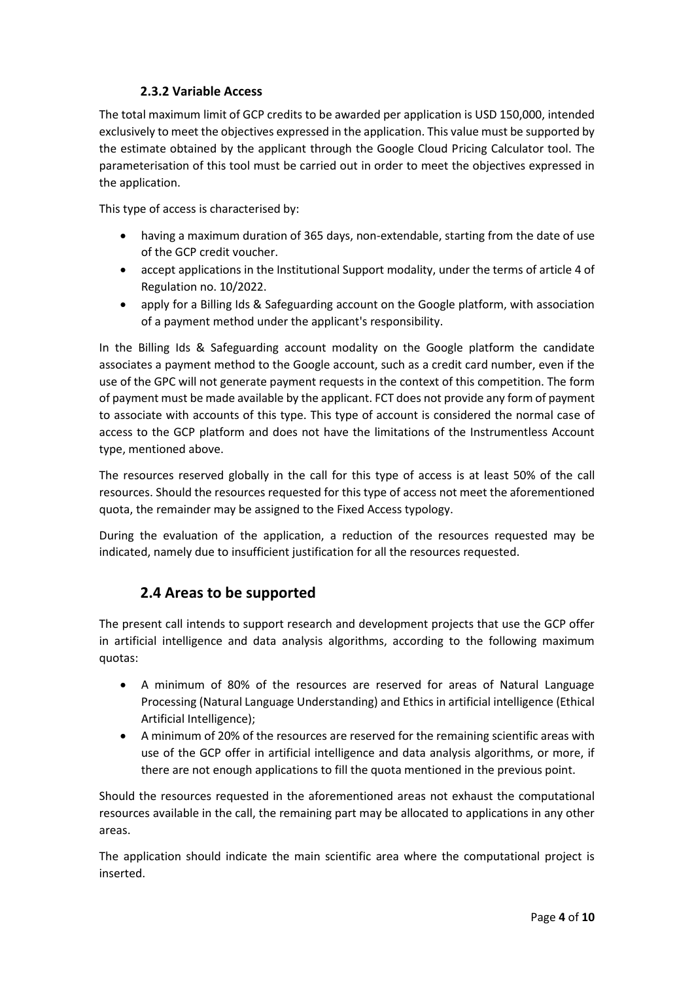#### **2.3.2 Variable Access**

<span id="page-3-0"></span>The total maximum limit of GCP credits to be awarded per application is USD 150,000, intended exclusively to meet the objectives expressed in the application. This value must be supported by the estimate obtained by the applicant through the Google Cloud Pricing Calculator tool. The parameterisation of this tool must be carried out in order to meet the objectives expressed in the application.

This type of access is characterised by:

- having a maximum duration of 365 days, non-extendable, starting from the date of use of the GCP credit voucher.
- accept applications in the Institutional Support modality, under the terms of article 4 of Regulation no. 10/2022.
- apply for a Billing Ids & Safeguarding account on the Google platform, with association of a payment method under the applicant's responsibility.

In the Billing Ids & Safeguarding account modality on the Google platform the candidate associates a payment method to the Google account, such as a credit card number, even if the use of the GPC will not generate payment requests in the context of this competition. The form of payment must be made available by the applicant. FCT does not provide any form of payment to associate with accounts of this type. This type of account is considered the normal case of access to the GCP platform and does not have the limitations of the Instrumentless Account type, mentioned above.

The resources reserved globally in the call for this type of access is at least 50% of the call resources. Should the resources requested for this type of access not meet the aforementioned quota, the remainder may be assigned to the Fixed Access typology.

<span id="page-3-1"></span>During the evaluation of the application, a reduction of the resources requested may be indicated, namely due to insufficient justification for all the resources requested.

## **2.4 Areas to be supported**

The present call intends to support research and development projects that use the GCP offer in artificial intelligence and data analysis algorithms, according to the following maximum quotas:

- A minimum of 80% of the resources are reserved for areas of Natural Language Processing (Natural Language Understanding) and Ethics in artificial intelligence (Ethical Artificial Intelligence);
- A minimum of 20% of the resources are reserved for the remaining scientific areas with use of the GCP offer in artificial intelligence and data analysis algorithms, or more, if there are not enough applications to fill the quota mentioned in the previous point.

Should the resources requested in the aforementioned areas not exhaust the computational resources available in the call, the remaining part may be allocated to applications in any other areas.

The application should indicate the main scientific area where the computational project is inserted.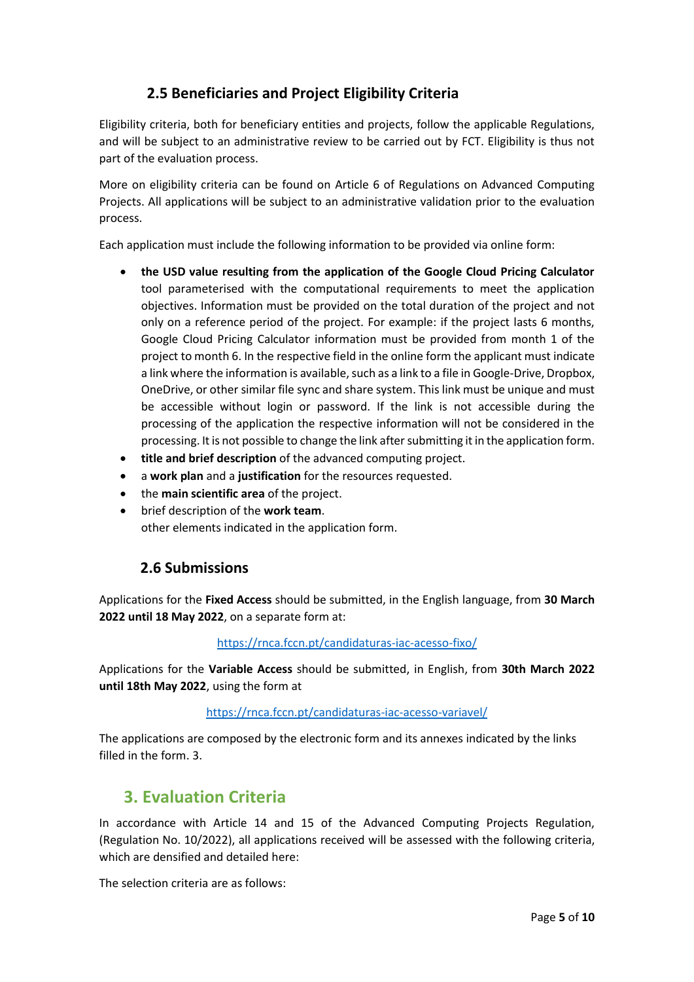## **2.5 Beneficiaries and Project Eligibility Criteria**

<span id="page-4-0"></span>Eligibility criteria, both for beneficiary entities and projects, follow the applicable Regulations, and will be subject to an administrative review to be carried out by FCT. Eligibility is thus not part of the evaluation process.

More on eligibility criteria can be found on Article 6 of Regulations on Advanced Computing Projects. All applications will be subject to an administrative validation prior to the evaluation process.

Each application must include the following information to be provided via online form:

- **the USD value resulting from the application of the Google Cloud Pricing Calculator** tool parameterised with the computational requirements to meet the application objectives. Information must be provided on the total duration of the project and not only on a reference period of the project. For example: if the project lasts 6 months, Google Cloud Pricing Calculator information must be provided from month 1 of the project to month 6. In the respective field in the online form the applicant must indicate a link where the information is available, such as a link to a file in Google-Drive, Dropbox, OneDrive, or other similar file sync and share system. This link must be unique and must be accessible without login or password. If the link is not accessible during the processing of the application the respective information will not be considered in the processing. It is not possible to change the link after submitting it in the application form.
- **title and brief description** of the advanced computing project.
- a **work plan** and a **justification** for the resources requested.
- the **main scientific area** of the project.
- brief description of the **work team**. other elements indicated in the application form.

#### **2.6 Submissions**

<span id="page-4-1"></span>Applications for the **Fixed Access** should be submitted, in the English language, from **30 March 2022 until 18 May 2022**, on a separate form at:

#### <https://rnca.fccn.pt/candidaturas-iac-acesso-fixo/>

Applications for the **Variable Access** should be submitted, in English, from **30th March 2022 until 18th May 2022**, using the form at

#### <https://rnca.fccn.pt/candidaturas-iac-acesso-variavel/>

The applications are composed by the electronic form and its annexes indicated by the links filled in the form. 3.

## <span id="page-4-2"></span>**3. Evaluation Criteria**

In accordance with Article 14 and 15 of the Advanced Computing Projects Regulation, (Regulation No. 10/2022), all applications received will be assessed with the following criteria, which are densified and detailed here:

The selection criteria are as follows: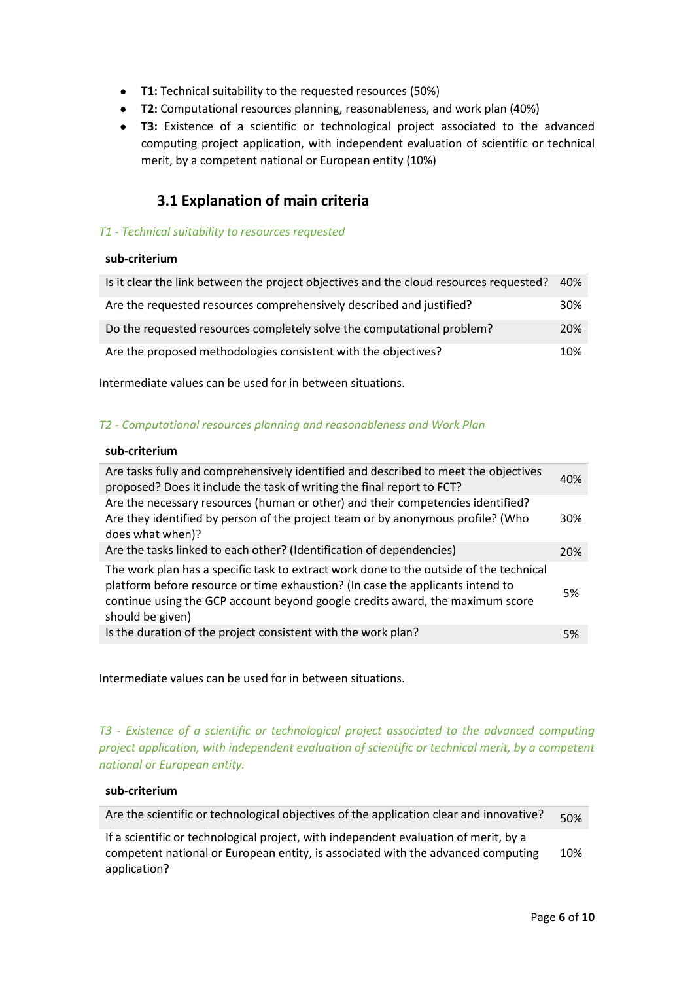- **T1:** Technical suitability to the requested resources (50%)
- **T2:** Computational resources planning, reasonableness, and work plan (40%)
- **T3:** Existence of a scientific or technological project associated to the advanced computing project application, with independent evaluation of scientific or technical merit, by a competent national or European entity (10%)

### **3.1 Explanation of main criteria**

#### <span id="page-5-0"></span>*T1 - Technical suitability to resources requested*

#### **sub-criterium**

| Is it clear the link between the project objectives and the cloud resources requested? | 40%        |
|----------------------------------------------------------------------------------------|------------|
| Are the requested resources comprehensively described and justified?                   | 30%        |
| Do the requested resources completely solve the computational problem?                 | <b>20%</b> |
| Are the proposed methodologies consistent with the objectives?                         | 10%        |

Intermediate values can be used for in between situations.

#### *T2 - Computational resources planning and reasonableness and Work Plan*

#### **sub-criterium**

| Are tasks fully and comprehensively identified and described to meet the objectives<br>proposed? Does it include the task of writing the final report to FCT?                                                                                                                 | 40% |
|-------------------------------------------------------------------------------------------------------------------------------------------------------------------------------------------------------------------------------------------------------------------------------|-----|
| Are the necessary resources (human or other) and their competencies identified?<br>Are they identified by person of the project team or by anonymous profile? (Who<br>does what when)?                                                                                        | 30% |
| Are the tasks linked to each other? (Identification of dependencies)                                                                                                                                                                                                          | 20% |
| The work plan has a specific task to extract work done to the outside of the technical<br>platform before resource or time exhaustion? (In case the applicants intend to<br>continue using the GCP account beyond google credits award, the maximum score<br>should be given) | .5% |
| Is the duration of the project consistent with the work plan?                                                                                                                                                                                                                 | 5%  |
|                                                                                                                                                                                                                                                                               |     |

Intermediate values can be used for in between situations.

*T3 - Existence of a scientific or technological project associated to the advanced computing project application, with independent evaluation of scientific or technical merit, by a competent national or European entity.*

#### **sub-criterium**

| Are the scientific or technological objectives of the application clear and innovative?                                                                                                                                           | 50% |
|-----------------------------------------------------------------------------------------------------------------------------------------------------------------------------------------------------------------------------------|-----|
| $\mathbf{r}$ , and the state of the state of the state of the state of the state of the state of the state of the state of the state of the state of the state of the state of the state of the state of the state of the state o |     |

If a scientific or technological project, with independent evaluation of merit, by a competent national or European entity, is associated with the advanced computing application? 10%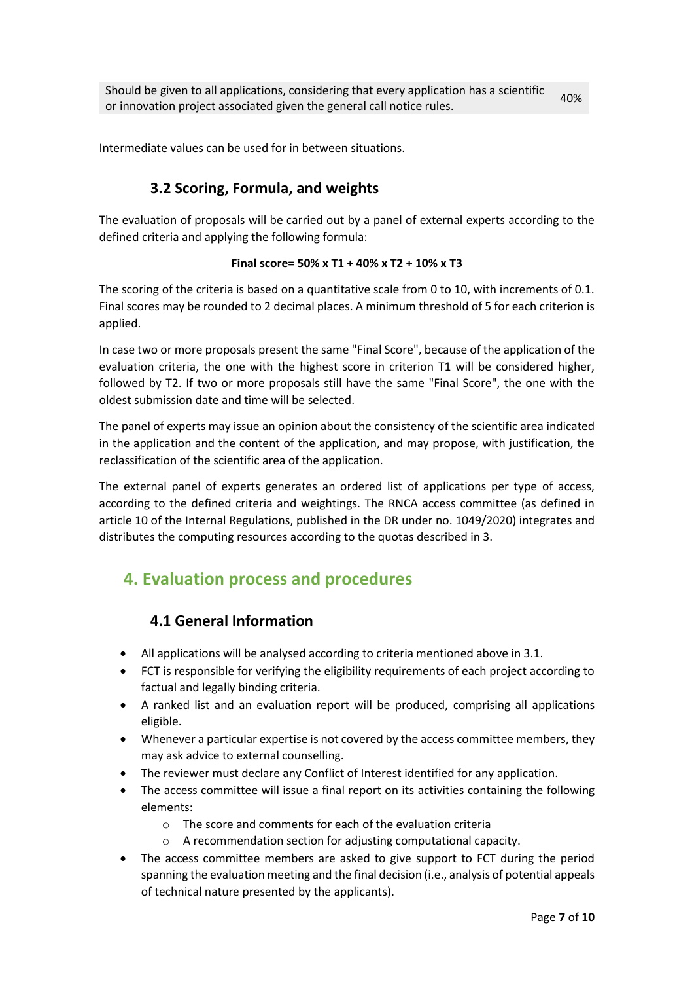<span id="page-6-0"></span>Intermediate values can be used for in between situations.

## **3.2 Scoring, Formula, and weights**

The evaluation of proposals will be carried out by a panel of external experts according to the defined criteria and applying the following formula:

#### **Final score= 50% x T1 + 40% x T2 + 10% x T3**

The scoring of the criteria is based on a quantitative scale from 0 to 10, with increments of 0.1. Final scores may be rounded to 2 decimal places. A minimum threshold of 5 for each criterion is applied.

In case two or more proposals present the same "Final Score", because of the application of the evaluation criteria, the one with the highest score in criterion T1 will be considered higher, followed by T2. If two or more proposals still have the same "Final Score", the one with the oldest submission date and time will be selected.

The panel of experts may issue an opinion about the consistency of the scientific area indicated in the application and the content of the application, and may propose, with justification, the reclassification of the scientific area of the application.

The external panel of experts generates an ordered list of applications per type of access, according to the defined criteria and weightings. The RNCA access committee (as defined in article 10 of the Internal Regulations, published in the DR under no. 1049/2020) integrates and distributes the computing resources according to the quotas described in 3.

## <span id="page-6-2"></span><span id="page-6-1"></span>**4. Evaluation process and procedures**

## **4.1 General Information**

- All applications will be analysed according to criteria mentioned above in 3.1.
- FCT is responsible for verifying the eligibility requirements of each project according to factual and legally binding criteria.
- A ranked list and an evaluation report will be produced, comprising all applications eligible.
- Whenever a particular expertise is not covered by the access committee members, they may ask advice to external counselling.
- The reviewer must declare any Conflict of Interest identified for any application.
- The access committee will issue a final report on its activities containing the following elements:
	- o The score and comments for each of the evaluation criteria
	- o A recommendation section for adjusting computational capacity.
- The access committee members are asked to give support to FCT during the period spanning the evaluation meeting and the final decision (i.e., analysis of potential appeals of technical nature presented by the applicants).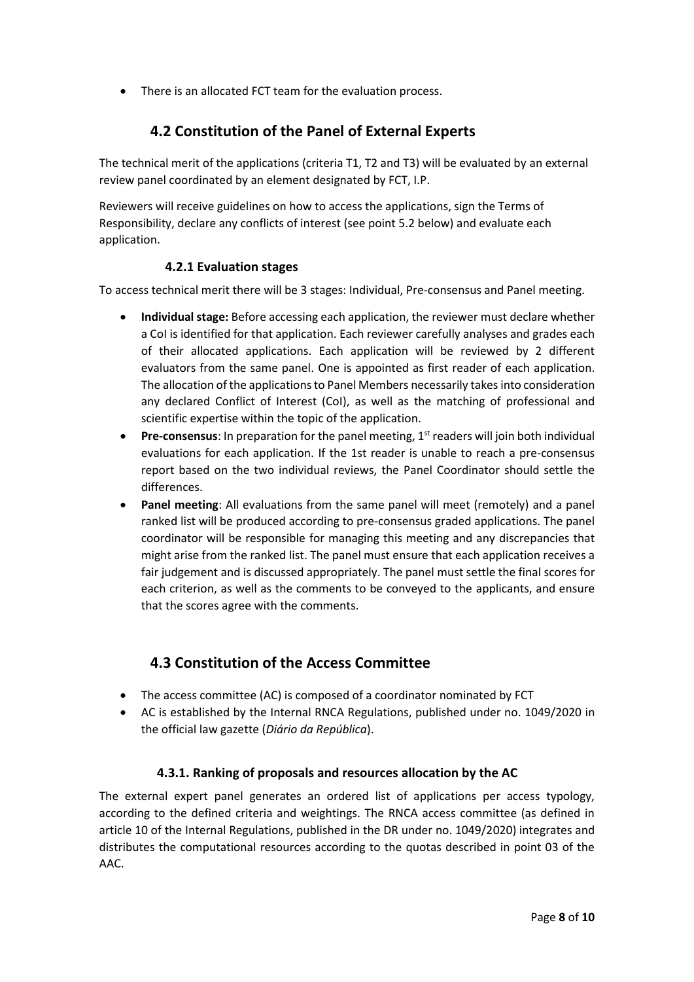<span id="page-7-0"></span>• There is an allocated FCT team for the evaluation process.

### **4.2 Constitution of the Panel of External Experts**

The technical merit of the applications (criteria T1, T2 and T3) will be evaluated by an external review panel coordinated by an element designated by FCT, I.P.

Reviewers will receive guidelines on how to access the applications, sign the Terms of Responsibility, declare any conflicts of interest (see point 5.2 below) and evaluate each application.

#### **4.2.1 Evaluation stages**

<span id="page-7-1"></span>To access technical merit there will be 3 stages: Individual, Pre-consensus and Panel meeting.

- **Individual stage:** Before accessing each application, the reviewer must declare whether a CoI is identified for that application. Each reviewer carefully analyses and grades each of their allocated applications. Each application will be reviewed by 2 different evaluators from the same panel. One is appointed as first reader of each application. The allocation of the applications to Panel Members necessarily takes into consideration any declared Conflict of Interest (CoI), as well as the matching of professional and scientific expertise within the topic of the application.
- Pre-consensus: In preparation for the panel meeting, 1<sup>st</sup> readers will join both individual evaluations for each application. If the 1st reader is unable to reach a pre-consensus report based on the two individual reviews, the Panel Coordinator should settle the differences.
- **Panel meeting**: All evaluations from the same panel will meet (remotely) and a panel ranked list will be produced according to pre-consensus graded applications. The panel coordinator will be responsible for managing this meeting and any discrepancies that might arise from the ranked list. The panel must ensure that each application receives a fair judgement and is discussed appropriately. The panel must settle the final scores for each criterion, as well as the comments to be conveyed to the applicants, and ensure that the scores agree with the comments.

## **4.3 Constitution of the Access Committee**

- <span id="page-7-2"></span>• The access committee (AC) is composed of a coordinator nominated by FCT
- AC is established by the Internal RNCA Regulations, published under no. 1049/2020 in the official law gazette (*Diário da República*).

#### **4.3.1. Ranking of proposals and resources allocation by the AC**

<span id="page-7-3"></span>The external expert panel generates an ordered list of applications per access typology, according to the defined criteria and weightings. The RNCA access committee (as defined in article 10 of the Internal Regulations, published in the DR under no. 1049/2020) integrates and distributes the computational resources according to the quotas described in point 03 of the AAC.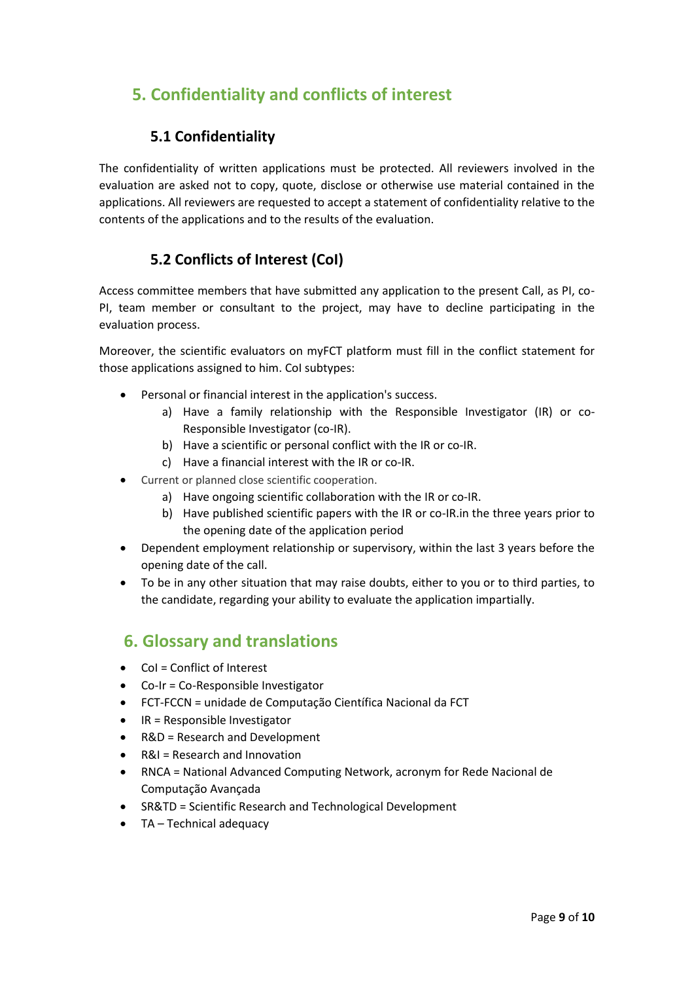# <span id="page-8-1"></span><span id="page-8-0"></span>**5. Confidentiality and conflicts of interest**

### **5.1 Confidentiality**

The confidentiality of written applications must be protected. All reviewers involved in the evaluation are asked not to copy, quote, disclose or otherwise use material contained in the applications. All reviewers are requested to accept a statement of confidentiality relative to the contents of the applications and to the results of the evaluation.

## **5.2 Conflicts of Interest (CoI)**

<span id="page-8-2"></span>Access committee members that have submitted any application to the present Call, as PI, co-PI, team member or consultant to the project, may have to decline participating in the evaluation process.

Moreover, the scientific evaluators on myFCT platform must fill in the conflict statement for those applications assigned to him. CoI subtypes:

- Personal or financial interest in the application's success.
	- a) Have a family relationship with the Responsible Investigator (IR) or co-Responsible Investigator (co-IR).
	- b) Have a scientific or personal conflict with the IR or co-IR.
	- c) Have a financial interest with the IR or co-IR.
- Current or planned close scientific cooperation.
	- a) Have ongoing scientific collaboration with the IR or co-IR.
	- b) Have published scientific papers with the IR or co-IR.in the three years prior to the opening date of the application period
- Dependent employment relationship or supervisory, within the last 3 years before the opening date of the call.
- To be in any other situation that may raise doubts, either to you or to third parties, to the candidate, regarding your ability to evaluate the application impartially.

## <span id="page-8-3"></span>**6. Glossary and translations**

- CoI = Conflict of Interest
- Co-Ir = Co-Responsible Investigator
- FCT-FCCN = unidade de Computação Científica Nacional da FCT
- IR = Responsible Investigator
- R&D = Research and Development
- R&I = Research and Innovation
- RNCA = National Advanced Computing Network, acronym for Rede Nacional de Computação Avançada
- SR&TD = Scientific Research and Technological Development
- TA Technical adequacy